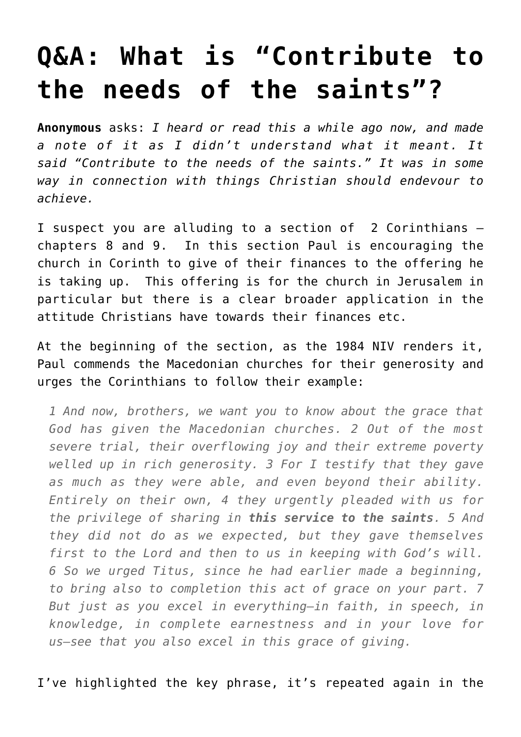## **[Q&A: What is "Contribute to](https://briggs.id.au/jour/2011/06/what-is-contribute-to-the-needs-of-the-saints/) [the needs of the saints"?](https://briggs.id.au/jour/2011/06/what-is-contribute-to-the-needs-of-the-saints/)**

**Anonymous** asks: *I heard or read this a while ago now, and made a note of it as I didn't understand what it meant. It said "Contribute to the needs of the saints." It was in some way in connection with things Christian should endevour to achieve.*

I suspect you are alluding to [a section of 2 Corinthians –](http://www.biblegateway.com/passage/?search=2%20Corinthians%208-9&version=NIV1984) [chapters 8 and 9](http://www.biblegateway.com/passage/?search=2%20Corinthians%208-9&version=NIV1984). In this section Paul is encouraging the church in Corinth to give of their finances to the offering he is taking up. This offering is for the church in Jerusalem in particular but there is a clear broader application in the attitude Christians have towards their finances etc.

At the beginning of the section, as the 1984 NIV renders it, Paul commends the Macedonian churches for their generosity and urges the Corinthians to follow their example:

*1 And now, brothers, we want you to know about the grace that God has given the Macedonian churches. 2 Out of the most severe trial, their overflowing joy and their extreme poverty welled up in rich generosity. 3 For I testify that they gave as much as they were able, and even beyond their ability. Entirely on their own, 4 they urgently pleaded with us for the privilege of sharing in this service to the saints. 5 And they did not do as we expected, but they gave themselves first to the Lord and then to us in keeping with God's will. 6 So we urged Titus, since he had earlier made a beginning, to bring also to completion this act of grace on your part. 7 But just as you excel in everything—in faith, in speech, in knowledge, in complete earnestness and in your love for us—see that you also excel in this grace of giving.*

I've highlighted the key phrase, it's repeated again in the